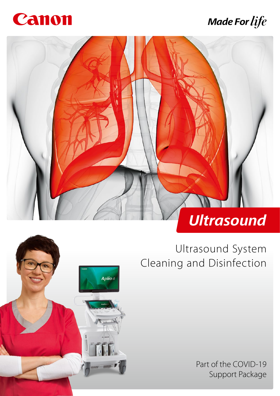

### **Made For life**





Ultrasound System Cleaning and Disinfection

> Part of the COVID-19 Support Package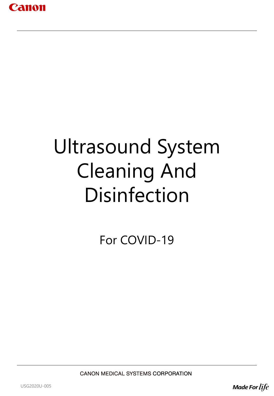

# Ultrasound System Cleaning And Disinfection

For COVID-19

**CANON MEDICAL SYSTEMS CORPORATION** 

USG2020U-005

**Made For life**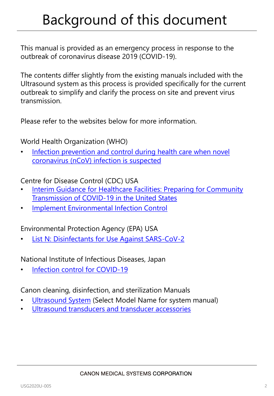## Background of this document

This manual is provided as an emergency process in response to the outbreak of coronavirus disease 2019 (COVID-19).

The contents differ slightly from the existing manuals included with the Ultrasound system as this process is provided specifically for the current outbreak to simplify and clarify the process on site and prevent virus transmission.

Please refer to the websites below for more information.

World Health Organization (WHO)

• [Infection prevention and control during health care when novel](https://www.who.int/publications-detail/infection-prevention-and-control-during-health-care-when-novel-coronavirus-(ncov)-infection-is-suspected-20200125)  coronavirus (nCoV) infection is suspected

Centre for Disease Control (CDC) USA

- **Interim Guidance for Healthcare Facilities: Preparing for Community** Transmission of COVID-19 in the United States
- [Implement Environmental Infection Control](https://www.cdc.gov/coronavirus/2019-ncov/infection-control/control-recommendations.html?CDC_AA_refVal=https://www.cdc.gov/coronavirus/2019-ncov/hcp/infection-control.html#infection_control)

Environmental Protection Agency (EPA) USA

[List N: Disinfectants for Use Against SARS-CoV-2](https://www.epa.gov/pesticide-registration/list-n-disinfectants-use-against-sars-cov-2)

National Institute of Infectious Diseases, Japan

[Infection control for COVID-19](https://www.niid.go.jp/niid/images/epi/corona/2019nCoV-01-200319.pdf)

Canon cleaning, disinfection, and sterilization Manuals

- [Ultrasound System](https://www.medical.canon/manuals) (Select Model Name for system manual)
- [Ultrasound transducers and transducer accessories](https://global.medical.canon/products/ultrasound/more_information/guideforcleaning)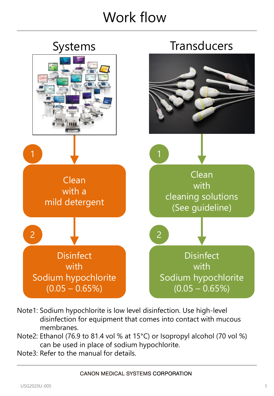### Work flow



- Note1: Sodium hypochlorite is low level disinfection. Use high-level disinfection for equipment that comes into contact with mucous membranes.
- Note2: Ethanol (76.9 to 81.4 vol % at 15°C) or Isopropyl alcohol (70 vol %) can be used in place of sodium hypochlorite.
- Note3: Refer to the manual for details.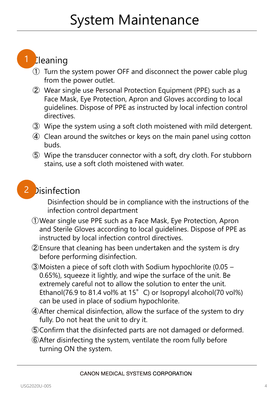## System Maintenance

#### 1 **Cleaning**

- ① Turn the system power OFF and disconnect the power cable plug from the power outlet.
- ② Wear single use Personal Protection Equipment (PPE) such as a Face Mask, Eye Protection, Apron and Gloves according to local guidelines. Dispose of PPE as instructed by local infection control directives.
- ③ Wipe the system using a soft cloth moistened with mild detergent.
- ④ Clean around the switches or keys on the main panel using cotton buds.
- ⑤ Wipe the transducer connector with a soft, dry cloth. For stubborn stains, use a soft cloth moistened with water.



Disinfection should be in compliance with the instructions of the infection control department

- ①Wear single use PPE such as a Face Mask, Eye Protection, Apron and Sterile Gloves according to local guidelines. Dispose of PPE as instructed by local infection control directives.
- ②Ensure that cleaning has been undertaken and the system is dry before performing disinfection.
- ③Moisten a piece of soft cloth with Sodium hypochlorite (0.05 0.65%), squeeze it lightly, and wipe the surface of the unit. Be extremely careful not to allow the solution to enter the unit. Ethanol(76.9 to 81.4 vol% at 15°C) or Isopropyl alcohol(70 vol%) can be used in place of sodium hypochlorite.
- ④After chemical disinfection, allow the surface of the system to dry fully. Do not heat the unit to dry it.
- ⑤Confirm that the disinfected parts are not damaged or deformed.
- ⑥After disinfecting the system, ventilate the room fully before turning ON the system.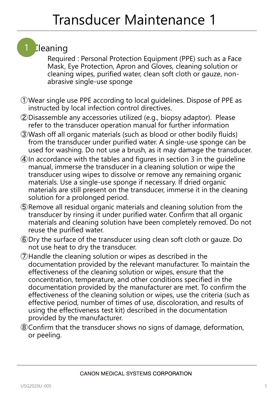#### 1 **Cleaning**

Required : Personal Protection Equipment (PPE) such as a Face Mask, Eye Protection, Apron and Gloves, cleaning solution or cleaning wipes, purified water, clean soft cloth or gauze, nonabrasive single-use sponge

- ①Wear single use PPE according to local guidelines. Dispose of PPE as instructed by local infection control directives.
- ②Disassemble any accessories utilized (e.g., biopsy adaptor). Please refer to the transducer operation manual for further information
- ③Wash off all organic materials (such as blood or other bodily fluids) from the transducer under purified water. A single-use sponge can be used for washing. Do not use a brush, as it may damage the transducer.
- ④In accordance with the tables and figures in section 3 in the guideline manual, immerse the transducer in a cleaning solution or wipe the transducer using wipes to dissolve or remove any remaining organic materials. Use a single-use sponge if necessary. If dried organic materials are still present on the transducer, immerse it in the cleaning solution for a prolonged period.
- ⑤Remove all residual organic materials and cleaning solution from the transducer by rinsing it under purified water. Confirm that all organic materials and cleaning solution have been completely removed. Do not reuse the purified water.
- ⑥Dry the surface of the transducer using clean soft cloth or gauze. Do not use heat to dry the transducer.
- ⑦Handle the cleaning solution or wipes as described in the documentation provided by the relevant manufacturer. To maintain the effectiveness of the cleaning solution or wipes, ensure that the concentration, temperature, and other conditions specified in the documentation provided by the manufacturer are met. To confirm the effectiveness of the cleaning solution or wipes, use the criteria (such as effective period, number of times of use, discoloration, and results of using the effectiveness test kit) described in the documentation provided by the manufacturer.
- ⑧Confirm that the transducer shows no signs of damage, deformation, or peeling.